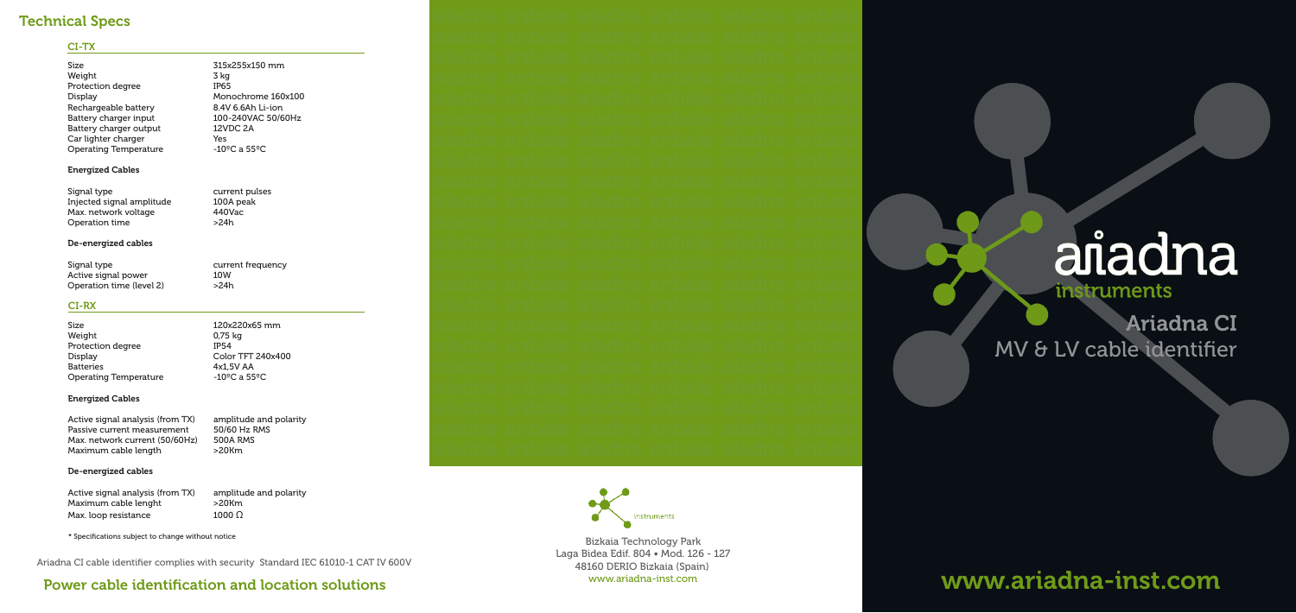www.ariadna-inst.com

Signal type current frequency<br>Active signal power 10W Active signal power Operation time (level 2) >24h

### Energized Cables

| Signal type               |
|---------------------------|
| Injected signal amplitude |
| Max. network voltage      |
| Operation time            |

Size 120x220x65 mm Weight 0,75 kg Protection degree **IP54** Display Color TFT 240x400 Batteries 4x1,5V AA Operating Temperature -10<sup>o</sup>C a 55<sup>o</sup>C

current pulses 100A peak  $440$ Vac  $>24h$ 

#### De-energized cables

## Technical Specs

Laga Bidea Edif. 804 • Mod. 126 - 127 48160 DERIO Bizkaia (Spain) www.ariadna-inst.com Bizkaia Technology Park

ariadna *instruments* 

Ariadna CI cable identifier complies with security Standard IEC 61010-1 CAT IV 600V

## Power cable identification and location solutions

|               |                             | snbsiis aiadna |
|---------------|-----------------------------|----------------|
|               |                             |                |
|               |                             |                |
|               |                             |                |
|               |                             |                |
|               |                             |                |
|               | snbsis aiadna               |                |
|               |                             |                |
|               |                             |                |
|               |                             |                |
|               |                             |                |
|               |                             |                |
|               |                             |                |
|               |                             |                |
|               |                             |                |
|               | snbsiis aiadna              |                |
|               |                             |                |
| <u>aiadna</u> | snbsiis aiadna              |                |
|               |                             |                |
|               |                             |                |
|               |                             |                |
|               |                             |                |
|               |                             |                |
|               |                             |                |
|               |                             |                |
|               | snbsis aiadna               |                |
|               |                             |                |
|               |                             |                |
| anadna        | snbsis aiadna               |                |
|               |                             |                |
|               |                             |                |
|               |                             |                |
|               |                             |                |
|               |                             |                |
|               |                             |                |
|               |                             |                |
|               |                             |                |
| anadna        | subsius ariadna             |                |
|               |                             |                |
|               |                             |                |
|               |                             |                |
|               |                             |                |
| iodno         | embene angdme               |                |
|               |                             |                |
|               |                             |                |
|               | anadna smbsiis anadna       |                |
|               |                             |                |
|               |                             |                |
|               | aiadna snbsis aiadna        |                |
|               |                             |                |
|               |                             |                |
|               | aiadna snbsis aiadna        |                |
|               |                             |                |
|               | anadna eqhene anadna        |                |
|               | alaul la DI LUDID dilaul la |                |
|               |                             |                |
|               | anadna smbsiis anadna       |                |
|               |                             |                |
| ngdna         | embene anadna               |                |
|               |                             |                |



## CI-TX

Size 315x255x150 mm Weight 3 kg<br>Protection degree 1965 Protection degree Display Monochrome 160x100 Rechargeable battery 8.4V 6.6Ah Li-ion<br>Battery charger input 100-240VAC 50/60Hz Battery charger input Battery charger output 12VDC 2A Car lighter charger The Yes Operating Temperature -10<sup>o</sup>C a 55<sup>o</sup>C

\* Specifications subject to change without notice

### CI-RX

#### Energized Cables

Active signal analysis (from TX) amplitude and polarity Passive current measurement 50/60 Hz RMS Max. network current (50/60Hz) 500A RMS Maximum cable length >20Km

## De-energized cables

| Active signal analysis (from TX) | amplitude and polarity |
|----------------------------------|------------------------|
| Maximum cable lenght             | >20Km                  |
| Max. loop resistance             | 1000 $\Omega$          |

Ariadna CI MV & LV cable identifier